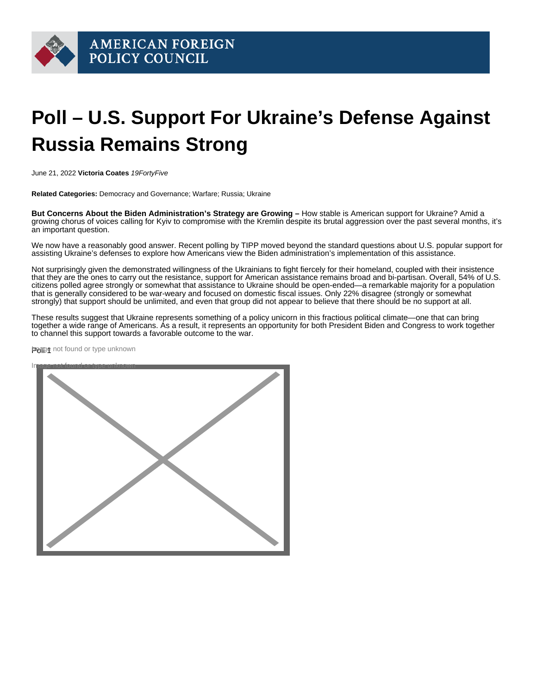## Poll – U.S. Support For Ukraine's Defense Against Russia Remains Strong

June 21, 2022 Victoria Coates 19FortyFive

Related Categories: Democracy and Governance; Warfare; Russia; Ukraine

But Concerns About the Biden Administration's Strategy are Growing – How stable is [American support](https://www.washingtonpost.com/opinions/2022/06/20/us-military-aid-ukraine-tanks-planes-drones-kyiv-russia-war/) for Ukraine? Amid a [growing chorus](https://www.19fortyfive.com/2022/06/there-is-no-military-path-for-ukraine-to-defeat-russia/) of voices calling for Kyiv to [compromise](https://www.19fortyfive.com/2022/06/joe-bidens-blank-check-strategy-wont-help-ukraine-beat-russia/) with the Kremlin despite its brutal aggression over the past several months, it's an [important question.](https://www.cnn.com/2022/06/19/europe/ukraine-russia-war-stoltenberg-johnson-intl-gbr/index.html)

We now have a reasonably [good answer.](https://www.theguardian.com/world/2022/jun/21/russia-ukraine-war-what-we-know-on-day-118-of-the-invasion) Recent polling by TIPP moved beyond the standard questions about U.S. popular support for assisting Ukraine's [defenses](https://www.19fortyfive.com/2022/05/m777-the-us-artillery-gun-that-could-help-ukraine-beat-russia/) to explore how Americans view the Biden administration's implementation of this [assistance](https://www.19fortyfive.com/2022/06/what-is-ukraine-getting-in-bidens-new-1-billion-aid-package/).

Not surprisingly given the demonstrated willingness of the Ukrainians to fight fiercely for their homeland, coupled with their insistence that they are the ones to carry out the resistance, support for American assistance remains broad and bi-partisan. Overall, 54% of U.S. citizens polled agree strongly or somewhat that assistance to Ukraine should be open-ended—a remarkable majority for a population that is generally considered to be war-weary and focused on domestic fiscal issues. Only 22% disagree (strongly or somewhat strongly) that support should be unlimited, and even that group did not appear to believe that there should be no support at all.

These results suggest that Ukraine represents something of a policy unicorn in this fractious political climate—one that can bring together a wide range of Americans. As a result, it represents an opportunity for both [President Biden](https://www.19fortyfive.com/2022/06/why-joe-biden-seems-to-like-high-gas-prices/) and Congress to work together to channel this support towards a favorable outcome to the war.

Pagne not found or type unknown